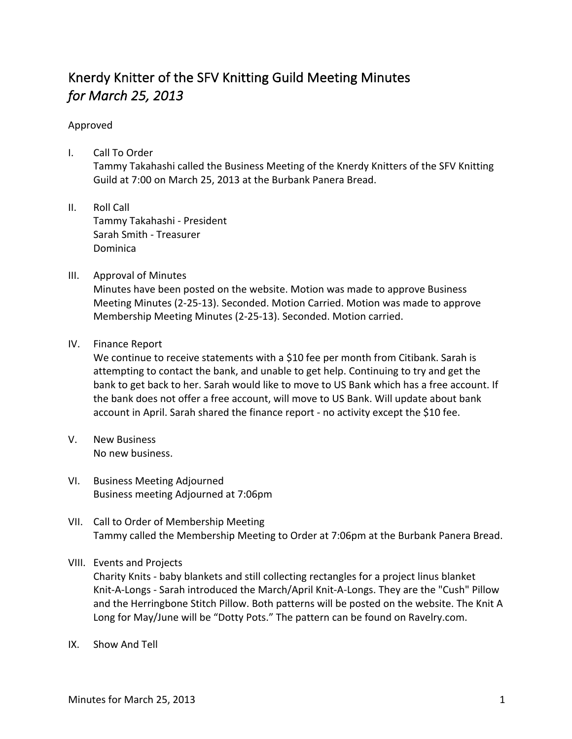## Knerdy Knitter of the SFV Knitting Guild Meeting Minutes *for March 25, 2013*

## Approved

- I. Call To Order Tammy Takahashi called the Business Meeting of the Knerdy Knitters of the SFV Knitting Guild at 7:00 on March 25, 2013 at the Burbank Panera Bread.
- II. Roll Call Tammy Takahashi - President Sarah Smith - Treasurer Dominica
- III. Approval of Minutes

Minutes have been posted on the website. Motion was made to approve Business Meeting Minutes (2-25-13). Seconded. Motion Carried. Motion was made to approve Membership Meeting Minutes (2-25-13). Seconded. Motion carried.

IV. Finance Report

We continue to receive statements with a \$10 fee per month from Citibank. Sarah is attempting to contact the bank, and unable to get help. Continuing to try and get the bank to get back to her. Sarah would like to move to US Bank which has a free account. If the bank does not offer a free account, will move to US Bank. Will update about bank account in April. Sarah shared the finance report - no activity except the \$10 fee.

- V. New Business No new business.
- VI. Business Meeting Adjourned Business meeting Adjourned at 7:06pm
- VII. Call to Order of Membership Meeting Tammy called the Membership Meeting to Order at 7:06pm at the Burbank Panera Bread.
- VIII. Events and Projects

Charity Knits - baby blankets and still collecting rectangles for a project linus blanket Knit-A-Longs - Sarah introduced the March/April Knit-A-Longs. They are the "Cush" Pillow and the Herringbone Stitch Pillow. Both patterns will be posted on the website. The Knit A Long for May/June will be "Dotty Pots." The pattern can be found on Ravelry.com.

IX. Show And Tell